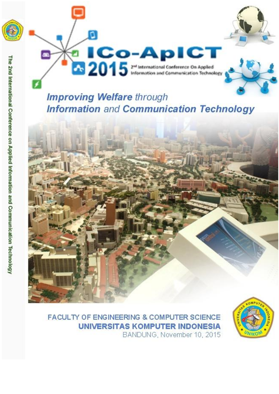

# **Improving Welfare through Information and Communication Technology**



**FACULTY OF ENGINEERING & COMPUTER SCIENCE UNIVERSITAS KOMPUTER INDONESIA** BANDUNG, November 10, 2015

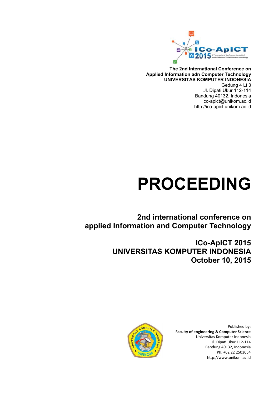

**The 2nd International Conference on Applied Information adn Computer Technology UNIVERSITAS KOMPUTER INDONESIA** Gedung 4 Lt 3 Jl. Dipati Ukur 112-114 Bandung 40132, Indonesia Ico-apict@unikom.ac.id http://ico-apict.unikom.ac.id

# **PROCEEDING**

**2nd international conference on applied Information and Computer Technology**

> **ICo-ApICT 2015 UNIVERSITAS KOMPUTER INDONESIA October 10, 2015**



Published by: **Faculty of engineering & Computer Science**  Universitas Komputer Indonesia Jl. Dipati Ukur 112-114 Bandung 40132, Indonesia Ph. +62 22 2503054 http://www.unikom.ac.id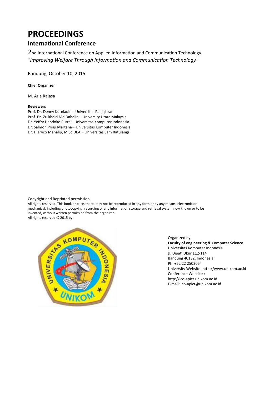# **PROCEEDINGS**

## **International Conference**

2nd International Conference on Applied Information and Communication Technology "Improving Welfare Through Information and Communication Technology"

Bandung, October 10, 2015

#### **Chief Organizer**

M. Aria Rajasa

#### **Reviewers**

Prof. Dr. Denny Kurniadie—Universitas Padjajaran Prof. Dr. Zulkhairi Md Dahalin – University Utara Malaysia Dr. Yeffry Handoko Putra—Universitas Komputer Indonesia Dr. Salmon Priaji Martana—Universitas Komputer Indonesia Dr. Hieryco Manalip, M.Sc.DEA – Universitas Sam Ratulangi

Copyright and Reprinted permission

All rights reserved. This book or parts there, may not be reproduced in any form or by any means, electronic or mechanical, including photocopying, recording or any information storage and retrieval system now known or to be invented, without written permission from the organizer. All rights reserved © 2015 by



Organized by: **Faculty of engineering & Computer Science**  Universitas Komputer Indonesia Jl. Dipati Ukur 112-114 Bandung 40132, Indonesia Ph. +62 22 2503054 University Website: http://www.unikom.ac.id Conference Website : http://ico-apict.unikom.ac.id E-mail: ico-apict@unikom.ac.id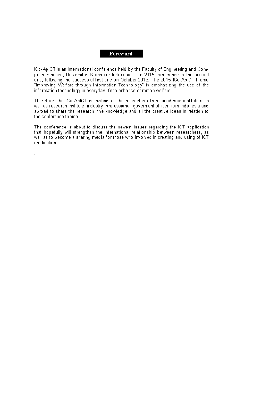#### Foreword

ICo-ApICT is an international conference held by the Faculty of Engineering and Computer Science. Universitas Komputer Indonesia. The 2015 conference is the second one, following the successful first one on October 2013. The 2015 ICo-ApICT theme "Improving Welfare through Information Technology" is emphasizing the use of the information technology in everyday life to enhance common welfare.

Therefore, the ICo-ApICT is inviting all the reseachers from academic institution as well as research institute, industry, professional, goverment officer from Indonesia and abroad to share the research, the knowledge and all the creative ideas in relation to the conference theme.

The conference is about to discuss the newest issues regarding the ICT application that hopefully will strengthen the international relationship between researchers, as well as to become a sharing media for those who involved in creating and using of ICT application.

 $\overline{a}$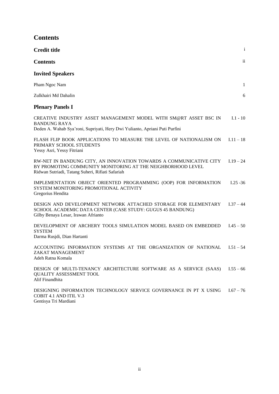| <b>Contents</b> |
|-----------------|
|-----------------|

| <b>Credit title</b>                                                                                                                                                                   | $\mathbf{i}$  |
|---------------------------------------------------------------------------------------------------------------------------------------------------------------------------------------|---------------|
| <b>Contents</b>                                                                                                                                                                       | $\mathbf{ii}$ |
| <b>Invited Speakers</b>                                                                                                                                                               |               |
| Pham Ngoc Nam                                                                                                                                                                         | $\mathbf{1}$  |
| Zulkhairi Md Dahalin                                                                                                                                                                  | $6\,$         |
| <b>Plenary Panels I</b>                                                                                                                                                               |               |
| CREATIVE INDUSTRY ASSET MANAGEMENT MODEL WITH SM@RT ASSET BSC IN<br><b>BANDUNG RAYA</b><br>Deden A. Wahab Sya'roni, Supriyati, Hery Dwi Yulianto, Apriani Puti Purfini                | $I.1 - 10$    |
| FLASH FLIP BOOK APPLICATIONS TO MEASURE THE LEVEL OF NATIONALISM ON<br>PRIMARY SCHOOL STUDENTS<br>Yessy Asri, Yessy Fitriani                                                          | $I.11 - 18$   |
| RW-NET IN BANDUNG CITY, AN INNOVATION TOWARDS A COMMUNICATIVE CITY<br>BY PROMOTING COMMUNITY MONITORING AT THE NEIGHBORHOOD LEVEL<br>Ridwan Sutriadi, Tatang Suheri, Rifiati Safariah | $1.19 - 24$   |
| IMPLEMENTATION OBJECT ORIENTED PROGRAMMING (OOP) FOR INFORMATION<br>SYSTEM MONITORING PROMOTIONAL ACTIVITY<br>Gregorius Hendita                                                       | $I.25 - 36$   |
| DESIGN AND DEVELOPMENT NETWORK ATTACHED STORAGE FOR ELEMENTARY<br>SCHOOL ACADEMIC DATA CENTER (CASE STUDY: GUGUS 45 BANDUNG)<br>Gilby Benaya Lesar, Irawan Afrianto                   | $1.37 - 44$   |
| DEVELOPMENT OF ARCHERY TOOLS SIMULATION MODEL BASED ON EMBEDDED<br><b>SYSTEM</b><br>Darma Rusjdi, Dian Hartanti                                                                       | $I.45 - 50$   |
| ACCOUNTING INFORMATION SYSTEMS AT THE ORGANIZATION OF NATIONAL<br>ZAKAT MANAGEMENT<br>Adeh Ratna Komala                                                                               | $I.51 - 54$   |
| DESIGN OF MULTI-TENANCY ARCHITECTURE SOFTWARE AS A SERVICE (SAAS)<br><b>QUALITY ASSESSMENT TOOL</b><br>Alif Finandhita                                                                | $I.55 - 66$   |
| DESIGNING INFORMATION TECHNOLOGY SERVICE GOVERNANCE IN PT X USING<br><b>COBIT 4.1 AND ITIL V.3</b><br>Gentisya Tri Mardiani                                                           | $I.67 - 76$   |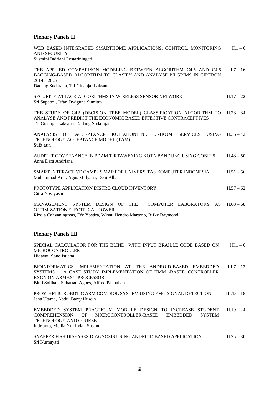## **Plenary Panels II**

| WEB BASED INTEGRATED SMARTHOME APPLICATIONS: CONTROL, MONITORING<br><b>AND SECURITY</b><br>Susmini Indriani Lestariningati                                                                                                           |               |  |  |  |  |
|--------------------------------------------------------------------------------------------------------------------------------------------------------------------------------------------------------------------------------------|---------------|--|--|--|--|
| THE APPLIED COMPARISON MODELING BETWEEN ALGORITHM C4.5 AND C4.5<br>BAGGING-BASED ALGORITHM TO CLASIFY AND ANALYSE PILGRIMS IN CIREBON<br>$2014 - 2025$<br>Dadang Sudarajat, Tri Ginanjar Laksana                                     | $II.7 - 16$   |  |  |  |  |
| SECURITY ATTACK ALGORITHMS IN WIRELESS SENSOR NETWORK<br>Sri Supatmi, Irfan Dwiguna Sumitra                                                                                                                                          | $II.17 - 22$  |  |  |  |  |
| THE STUDY OF C4.5 (DECISION TREE MODEL) CLASSIFICATION ALGORITHM TO<br>ANALYSE AND PREDICT THE ECONOMIC BASED EFFECTIVE CONTRACEPTIVES<br>Tri Ginanjar Laksana, Dadang Sudarajat                                                     | $II.23 - 34$  |  |  |  |  |
| <b>ANALYSIS</b><br><b>UNIKOM</b><br><b>USING</b><br>OF<br><b>ACCEPTANCE</b><br><b>KULIAHONLINE</b><br><b>SERVICES</b><br>TECHNOLOGY ACCEPTANCE MODEL (TAM)<br>Sufa'atin                                                              | $II.35 - 42$  |  |  |  |  |
| AUDIT IT GOVERNANCE IN PDAM TIRTAWENING KOTA BANDUNG USING COBIT 5<br>Anna Dara Andriana                                                                                                                                             | $II.43 - 50$  |  |  |  |  |
| SMART INTERACTIVE CAMPUS MAP FOR UNIVERSITAS KOMPUTER INDONESIA<br>Muhammad Aria, Agus Mulyana, Deni Albar                                                                                                                           | $II.51 - 56$  |  |  |  |  |
| PROTOTYPE APPLICATION DISTRO CLOUD INVENTORY<br>Citra Noviyasari                                                                                                                                                                     | $II.57 - 62$  |  |  |  |  |
| MANAGEMENT SYSTEM DESIGN OF<br><b>THE</b><br>COMPUTER LABORATORY AS<br>OPTIMIZATION ELECTRICAL POWER<br>Rizqia Cahyaningtyas, Efy Yostira, Wisnu Hendro Martono, Rifky Raymond                                                       | $II.63 - 68$  |  |  |  |  |
| <b>Plenary Panels III</b>                                                                                                                                                                                                            |               |  |  |  |  |
| SPECIAL CALCULATOR FOR THE BLIND WITH INPUT BRAILLE CODE BASED ON<br><b>MICROCONTROLLER</b><br>Hidayat, Sono Istiana                                                                                                                 | $III.1-6$     |  |  |  |  |
| BIOINFORMATICS IMPLEMENTATION AT<br>THE ANDROID-BASED EMBEDDED<br>SYSTEMS : A CASE STUDY IMPLEMENTATION OF HMM -BASED CONTROLLER<br><b>EXON ON ARM926T PROCESSOR</b><br>Binti Solihah, Suhartati Agoes, Alfred Pakpahan              | $III.7 - 12$  |  |  |  |  |
| PROSTHETIC ROBOTIC ARM CONTROL SYSTEM USING EMG SIGNAL DETECTION<br>Jana Utama, Abdul Barry Husein                                                                                                                                   | $III.13 - 18$ |  |  |  |  |
| EMBEDDED SYSTEM PRACTICUM MODULE DESIGN TO INCREASE STUDENT<br><b>COMPREHENSION</b><br><b>OF</b><br>MICROCONTROLLER-BASED<br><b>EMBEDDED</b><br><b>SYSTEM</b><br><b>TECHNOLOGY AND COURSE</b><br>Indrianto, Meilia Nur Indah Susanti | $III.19 - 24$ |  |  |  |  |
| SNAPPER FISH DISEASES DIAGNOSIS USING ANDROID BASED APPLICATION<br>Sri Nurhayati                                                                                                                                                     | III.25 – 30   |  |  |  |  |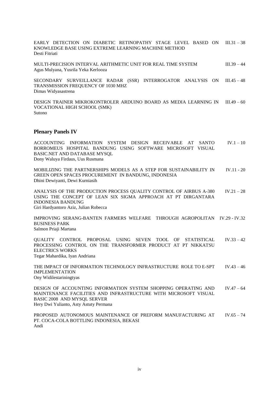EARLY DETECTION ON DIABETIC RETINOPATHY STAGE LEVEL BASED ON III.31-38 KNOWLEDGE BASE USING EXTREME LEARNING MACHINE METHOD Desti Fitriati

MULTI-PRECISION INTERVAL ARITHMETIC UNIT FOR REAL TIME SYSTEM III.39 - 44 Agus Mulyana, Yusrila Yeka Kerlooza

SECONDARY SURVEILLANCE RADAR (SSR) INTERROGATOR ANALYSIS ON III.45 – 48 TRANSMISSION FREQUENCY OF 1030 MHZ Dimas Widyasastrena

DESIGN TRAINER MIKROKONTROLER ARDUINO BOARD AS MEDIA LEARNING IN III.49 – 60 VOCATIONAL HIGH SCHOOL (SMK) Sutono

#### **Plenary Panels IV**

ACCOUNTING INFORMATION SYSTEM DESIGN RECEIVABLE AT SANTO BORROMEUS HOSPITAL BANDUNG USING SOFTWARE MICROSOFT VISUAL BASIC.NET AND DATABASE MYSQL  $IV.1 - 10$ Dony Waluya Firdaus, Uus Rusmana

MOBILIZING THE PARTNERSHIPS MODELS AS A STEP FOR SUSTAINABILITY IN GREEN OPEN SPACES PROCUREMENT IN BANDUNG, INDONESIA IV.11 - 20 Dhini Dewiyanti, Dewi Kurniasih

ANALYSIS OF THE PRODUCTION PROCESS QUALITY CONTROL OF AIRBUS A-380 USING THE CONCEPT OF LEAN SIX SIGMA APPROACH AT PT DIRGANTARA INDONESIA BANDUNG IV.21 – 28 Giri Hardyantoro Aziz, Julian Robecca

IMPROVING SERANG-BANTEN FARMERS WELFARE THROUGH AGROPOLITAN IV.29 - IV.32 BUSINESS PARK Salmon Priaji Martana

QUALITY CONTROL PROPOSAL USING SEVEN TOOL OF STATISTICAL PROCESSING CONTROL ON THE TRANSFORMER PRODUCT AT PT NIKKATSU ELECTRICS WORKS  $IV.33 - 42$ Tegar Mahardika, Iyan Andriana

THE IMPACT OF INFORMATION TECHNOLOGY INFRASTRUCTURE ROLE TO E-SPT IMPLEMENTATION  $IV.43 - 46$ Ony Widilestariningtyas

DESIGN OF ACCOUNTING INFORMATION SYSTEM SHOPPING OPERATING AND MAINTENANCE FACILITIES AND INFRASTRUCTURE WITH MICROSOFT VISUAL BASIC 2008 AND MYSQL SERVER  $IV.47 - 64$ Hery Dwi Yulianto, Asty Astuty Permana

PROPOSED AUTONOMOUS MAINTENANCE OF PREFORM MANUFACTURING AT PT. COCA-COLA BOTTLING INDONESIA, BEKASI  $IV.65 - 74$ Andi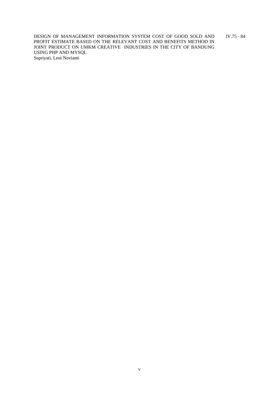DESIGN OF MANAGEMENT INFORMATION SYSTEM COST OF GOOD SOLD AND PROFIT ESTIMATE BASED ON THE RELEVANT COST AND BENEFITS METHOD IN JOINT PRODUCT ON UMKM CREATIVE INDUSTRIES IN THE CITY OF BANDUNG USING PHP AND MYSQL IV.75 - 84 Supriyati, Leni Novianti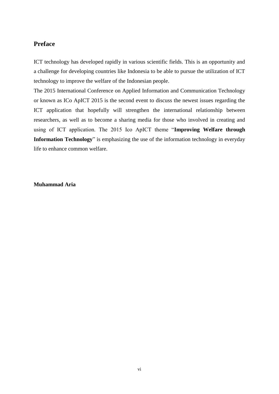### **Preface**

ICT technology has developed rapidly in various scientific fields. This is an opportunity and a challenge for developing countries like Indonesia to be able to pursue the utilization of ICT technology to improve the welfare of the Indonesian people.

The 2015 International Conference on Applied Information and Communication Technology or known as ICo ApICT 2015 is the second event to discuss the newest issues regarding the ICT application that hopefully will strengthen the international relationship between researchers, as well as to become a sharing media for those who involved in creating and using of ICT application. The 2015 Ico ApICT theme "**Improving Welfare through Information Technology**" is emphasizing the use of the information technology in everyday life to enhance common welfare.

**Muhammad Aria**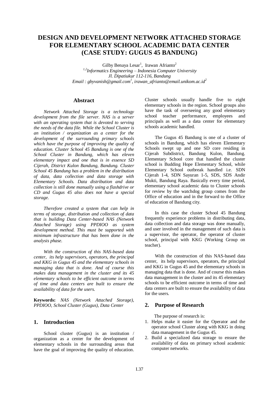## **DESIGN AND DEVELOPMENT NETWORK ATTACHED STORAGE FOR ELEMENTARY SCHOOL ACADEMIC DATA CENTER (CASE STUDY: GUGUS 45 BANDUNG)**

Gilby Benaya Lesar<sup>1</sup>, Irawan Afrianto<sup>2</sup> *1,2Informatics Engineering – Indonesia Computer University Jl. Dipatiukur 112-116, Bandung Email : gbyvanish@gmail.com<sup>1</sup> , irawan\_afrianto@email.unikom.ac.id<sup>2</sup>*

#### **Abstract**

*Network Attached Storage is a technology development from the file server. NAS is a server with an operating system that is devoted to serving the needs of the data file. While the School Cluster is an institution / organization as a center for the development of the surrounding primary schools which have the purpose of improving the quality of education. Cluster School 45 Bandung is one of the School Cluster in Bandung, which has eleven elementary impact and one that is in essence SD Cijerah, District Kulon Bandung, Bandung. Cluster School 45 Bandung has a problem in the distribution of data, data collection and data storage with Elementary Schools. Data distribution and data collection is still done manually using a flashdrive or CD and Gugus 45 also does not have a special storage.* 

*Therefore created a system that can help in terms of storage, distribution and collection of data that is building Data Center-based NAS (Network Attached Storage) using PPDIOO as system development method. This must be supported with minimum infrastructure that has been done in the analysis phase.*

*With the construction of this NAS-based data center, its help supervisors, operators, the principal and KKG in Gugus 45 and the elementary schools in managing data that is done. And of course this makes data management in the cluster and its 45 elementary schools to be efficient outcome in terms of time and data centers are built to ensure the availability of data for the users.*

**Keywords:** *NAS (Network Attached Storage), PPDIOO, School Cluster (Gugus), Data Center*

#### **1. Introduction**

School cluster (Gugus) is an institution / organization as a center for the development of elementary schools in the surrounding areas that have the goal of improving the quality of education.

Cluster schools usually handle five to eight elementary schools in the region. School groups also have the task of overseeing any good elementary school teacher performance, employees and principals as well as a data center for elementary schools academic handled.

The Gugus 45 Bandung is one of a cluster of schools in Bandung, which has eleven Elementary Schools swept up and one SD core residing in Cijerah Subdistrict, Bandung Kulon, Bandung. Elementary School core that handled the cluster school is Budding Hope Elementary School, while Elementary School outbreak handled i.e. SDN Cijerah 1-4, SDN Sayuran 1-5, SDS, SDS Andir Mukti, Bandung Raya. Basically every time period, elementary school academic data to Cluster schools for review by the watchdog group comes from the Office of education and in the forward to the Office of education of Bandung city.

In this case the cluster School 45 Bandung frequently experience problems in distributing data, data collection and data storage was done manually, and user involved in the management of such data is a supervisor, the operator, the operator of cluster school, principal with KKG (Working Group on teacher).

With the construction of this NAS-based data center, its help supervisors, operators, the principal and KKG in Gugus 45 and the elementary schools in managing data that is done. And of course this makes data management in the cluster and its 45 elementary schools to be efficient outcome in terms of time and data centers are built to ensure the availability of data for the users.

#### **2. Purpose of Research**

The purpose of research is:

- 1. Helps make it easier for the Operator and the operator school Cluster along with KKG in doing data management in the Gugus 45.
- 2. Build a specialized data storage to ensure the availability of data on primary school academic computer networks.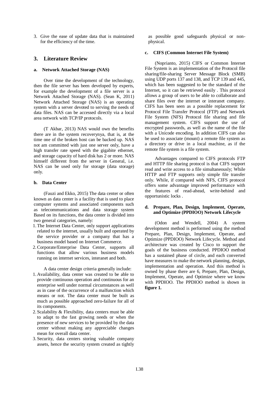3. Give the ease of update data that is maintained for the efficiency of the time.

#### **3. Literature Review**

#### **a. Network Attached Storage (NAS)**

Over time the development of the technology, then the file server has been developed by experts, for example the development of a file server is a Network Attached Storage (NAS). (Sean K, 2011) Network Attached Storage (NAS) is an operating system with a server devoted to serving the needs of data files. NAS can be accessed directly via a local area network with TCP/IP protocols.

(T Akbar, 2013) NAS would own the benefits there are in the system recoverynya, that is, at the time one of the broken host can be backed up. NAS not am committed with just one server only, have a high transfer rate speed with the gigabite ethernet, and storage capacity of hard disk has 2 or more. NAS himself different from the server in General, i.e. NAS can be used only for storage (data storage) only.

#### **b. Data Center**

(Fauzi and Ekko, 2015) The data center or often known as data center is a facility that is used to place computer systems and associated components such as telecommunications and data storage system Based on its functions, the data center is divided into two general categories, namely:

- 1. The Internet Data Center, only support applications related to the internet, usually built and operated by the service provider or a company that has a business model based on Internet Commerce.
- 2.Corporate/Enterprise Data Center, supports all functions that allow various business models running on internet services, interanet and both.

A data center design criteria generally include:

- 1. Availability, data center was created to be able to provide continuous operation and continuous for an enterprise well under normal circumstances as well as in case of the occurrence of a malfunction which means or not. The data center must be built as much as possible approached zero-failure for all of its components.
- 2. Scalability & Flexibility, data centers must be able to adapt to the fast growing needs or when the presence of new services to be provided by the data center without making any appreciable changes mean for overall data center.
- 3. Security, data centers storing valuable company assets, hence the security system created as tightly

as possible good safeguards physical or nonphysical.

#### **c. CIFS (Common Internet File System)**

(Noprianto, 2015) CIFS or Common Internet File System is an implementation of the Protocol file sharing/file-sharing Server Message Block (SMB) using UDP ports 137 and 138, and TCP 139 and 445, which has been suggested to be the standard of the Internet, so it can be retrieved easily . This protocol allows a group of users to be able to collaborate and share files over the internet or interanet company. CIFS has been seen as a possible replacement for Protocol File Transfer Protocol (FTP) and Network File System (NFS) Protocol file sharing and file management system. CIFS support the use of encrypted passwords, as well as the name of the file with a Unicode encoding. In addition CIFS can also be used to associate (mount) a remote file system as a directory or drive in a local machine, as if the remote file system is a file system.

Advantages compared to CIFS protocols FTP and HTTP file sharing protocol is that CIFS support read and write access to a file simultaneously; While HTTP and FTP supports only simple file transfer only. While, if compared with NFS, CIFS protocol offers some advantage improved performance with the features of read-ahead, write-behind and opportunistic locks .

#### **d. Prepare, Plan, Design, Implement, Operate, and Optimize (PPDIOO) Network Lifecycle**

(Odon and Wendell, 2004) A system development method is performed using the method Prepare, Plan, Design, Implement, Operate, and Optimize (PPDIOO) Network Lifecycle. Method and architecture was created by Cisco to support the goals of the business conducted. PPDIOO method has a sustained phase of circle, and each converted have measures to make the network planning, design, implementation and operation. And this method is owned by phase there are 6, Prepare, Plan, Design, Implement, Operate, and Optimize where we know with PPDIOO. The PPDIOO method is shown in **figure 1.**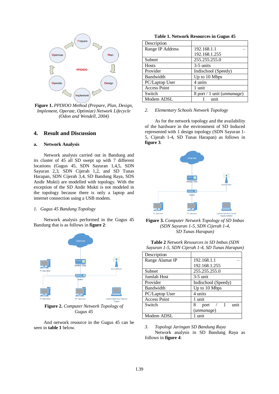

**Figure 1.** *PPDIOO Method (Prepare, Plan, Design, Implement, Operate, Optimize) Network Lifecycle (Odon and Wendell, 2004)*

#### **4. Result and Discussion**

#### **a. Network Analysis**

Network analysis carried out in Bandung and its cluster of 45 all SD swept up with 7 different locations (Gugus 45, SDN Sayuran 1,4,5, SDN Sayuran 2,3, SDN Cijerah 1,2, and SD Tunas Harapan, SDN Cijerah 3,4, SD Bandung Raya, SDS Andir Mukti) are modelled with topology. With the exception of the SD Andir Mukti is not modeled in the topology because there is only a laptop and internet connection using a USB modem.

#### *1. Gugus 45 Bandung Topology*

Network analysis performed in the Gugus 45 Bandung that is as follows in **figure 2**:



**Figure 2.** *Computer Network Topology of Gugus 45*

And network resource in the Gugus 45 can be seen in **table 1** below.

**Table 1. Network Resources in Gugus 45**

| Description         |                                     |
|---------------------|-------------------------------------|
| Range IP Address    | 192.168.1.1                         |
|                     | 192.168.1.255                       |
| Subnet              | 255.255.255.0                       |
| <b>Hosts</b>        | $3-5$ units                         |
| Provider            | Indischool (Speedy)                 |
| Bandwidth           | Up to 10 Mbps                       |
| PC/Laptop User      | 4 units                             |
| <b>Access Point</b> | 1 unit                              |
| Switch              | 8 port / 1 unit ( <i>unmanage</i> ) |
| Modem ADSL          | 11n                                 |

#### *2. Elementary Schools Network Topology*

As for the network topology and the availability of the hardware in the environment of SD Induced represented with 1 design topology (SDN Sayuran 1- 5, Cijerah 1-4, SD Tunas Harapan) as follows in **figure 3**.



**Figure 3.** *Computer Network Topology of SD Imbas (SDN Sayuran 1-5, SDN Cijerah 1-4, SD Tunas Harapan)*

| Sayuran 1-5, SDN Cijerah 1-4, SD Tunas Harapan) |          |  |  |
|-------------------------------------------------|----------|--|--|
| Description                                     |          |  |  |
| Range Alamat IP                                 | 10216811 |  |  |

**Table 2** *Network Resources in SD Imbas (SDN* 

| DUSUIPHUI           |                                 |  |  |
|---------------------|---------------------------------|--|--|
| Range Alamat IP     | 192.168.1.1                     |  |  |
|                     | 192.168.1.255                   |  |  |
| Subnet              | 255.255.255.0                   |  |  |
| Jumlah Host         | $3-5$ unit                      |  |  |
| Provider            | Indischool (Speedy)             |  |  |
| Bandwidth           | Up to 10 Mbps                   |  |  |
| PC/Laptop User      | 4 units                         |  |  |
| <b>Access Point</b> | 1 unit                          |  |  |
| Switch              | unit<br>$\sqrt{1}$<br>8<br>port |  |  |
|                     | (unmanage)                      |  |  |
| Modem ADSL          | unit                            |  |  |

#### *3. Topologi Jaringan SD Bandung Raya* Network analysis in SD Bandung Raya as follows in **figure 4**: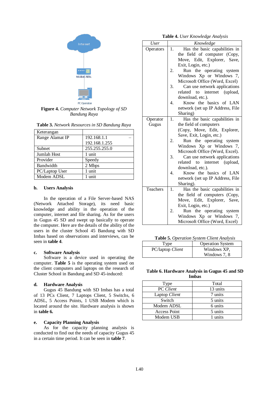

**Figure 4.** *Computer Network Topology of SD Bandung Raya*

| Table 3. Network Resources in SD Bandung Raya |  |  |  |
|-----------------------------------------------|--|--|--|
|-----------------------------------------------|--|--|--|

| Keterangan      |               |
|-----------------|---------------|
| Range Alamat IP | 192.168.1.1   |
|                 | 192.168.1.255 |
| Subnet          | 255.255.255.0 |
| Jumlah Host     | 1 unit        |
| Provider        | Speedy        |
| Bandwidth       | 2 Mbps        |
| PC/Laptop User  | 1 unit        |
| Modem ADSL      | 1 unit        |

#### **b. Users Analysis**

In the operation of a File Server-based NAS (Network Attached Storage), its need basic knowledge and ability in the operation of the computer, internet and file sharing. As for the users in Gugus 45 SD and swept up basically to operate the computer. Here are the details of the ability of the users in the cluster School 45 Bandung with SD Imbas based on observations and interviews, can be seen in **table 4**.

#### **c. Software Analysis**

Software is a device used in operating the computer. **Table 5** is the operating system used on the client computers and laptops on the research of Cluster School in Bandung and SD 45-induced:

#### **d. Hardware Analysis**

Gugus 45 Bandung with SD Imbas has a total of 13 PCs Client, 7 Laptops Client, 5 Switchs, 6 ADSL, 5 Access Points, 1 USB Modem which is located around the site. Hardware analysis is shown in **table 6.**

#### **e. Capacity Planning Analysis**

As for the capacity planning analysis is conducted to find out the needs of capacity Gugus 45 in a certain time period. It can be seen in **table 7**.

**Table 4.** *User Knowledge Analysis*

| <b>User</b> |    | Knowledge                        |  |  |
|-------------|----|----------------------------------|--|--|
| Operators   | 1. | Has the basic capabilities in    |  |  |
|             |    | the field of computer (Copy,     |  |  |
|             |    | Move, Edit, Explorer, Save,      |  |  |
|             |    | Exit, Login, etc.)               |  |  |
|             | 2. | Run the operating system         |  |  |
|             |    | Windows Xp or Windows 7,         |  |  |
|             |    | Microsoft Office (Word, Excel)   |  |  |
|             | 3. | Can use network applications     |  |  |
|             |    | related to internet (upload,     |  |  |
|             |    | download, etc.).                 |  |  |
|             | 4. | Know the basics of LAN           |  |  |
|             |    | network (set up IP Address, File |  |  |
|             |    | Sharing)                         |  |  |
| Operator    | 1. | Has the basic capabilities in    |  |  |
| Gugus       |    | the field of computers           |  |  |
|             |    | (Copy, Move, Edit, Explorer,     |  |  |
|             |    | Save, Exit, Login, etc.)         |  |  |
|             | 2. | Run the operating system         |  |  |
|             |    | Windows Xp or Windows 7,         |  |  |
|             |    | Microsoft Office (Word, Excel).  |  |  |
|             | 3. | Can use network applications     |  |  |
|             |    | related to internet (upload,     |  |  |
|             |    | download, etc.).                 |  |  |
|             | 4. | Know the basics of LAN           |  |  |
|             |    | network (set up IP Address, File |  |  |
|             |    | Sharing).                        |  |  |
| Teachers    | 1. | Has the basic capabilities in    |  |  |
|             |    | the field of computers (Copy,    |  |  |
|             |    | Move, Edit, Explorer, Save,      |  |  |
|             |    | Exit, Login, etc.)               |  |  |
|             | 2. | Run the operating system         |  |  |
|             |    | Windows Xp or Windows 7,         |  |  |
|             |    | Microsoft Office (Word, Excel)   |  |  |

**Table 5.** *Operation System Client Analysis*

| l'ype            | <b>Operation System</b> |
|------------------|-------------------------|
| PC/laptop Client | Windows XP,             |
|                  | Windows 7, 8            |

#### **Table 6. Hardware Analysis in Gugus 45 and SD Imbas**

| Type                | Total    |
|---------------------|----------|
| <b>PC</b> Client    | 13 units |
| Laptop Client       | 7 units  |
| Switch              | 5 units  |
| Modem ADSL          | 6 units  |
| <b>Access Point</b> | 5 units  |
| Modem USB           | 1 units  |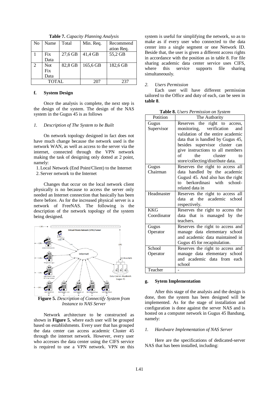| N <sub>o</sub> | Name       | Total   | Min. Req. | Recommend<br>ation Req. |
|----------------|------------|---------|-----------|-------------------------|
|                | Fix        | 27,6 GB | 41,4 GB   | 55,2 GB                 |
|                | Data       |         |           |                         |
| $\mathfrak{D}$ | <b>Not</b> | 82,8 GB | 165,6 GB  | 182.6 GB                |
|                | Fix        |         |           |                         |
|                | Data       |         |           |                         |
| TOTAL          |            | 207     | 237       |                         |

**Table 7.** *Capacity Planning Analysis*

#### **f. System Design**

Once the analysis is complete, the next step is the design of the system. The design of the NAS system in the Gugus 45 is as follows

#### *1. Description of The System to be Built*

On network topology designed in fact does not have much change because the network used is the network WAN, as well as access to the server via the internet, connected through the VPN network making the task of designing only dotted at 2 point, namely:

1.Local Network (End Point/Client) to the Internet 2.Server network to the Internet

Changes that occur on the local network client physically is no because to access the server only needed an Internet connection that basically has been there before. As for the increased physical server is a network of FreeNAS. The following is the description of the network topology of the system being designed.



**Figure 5.** *Description of Connectify System from Instance to NAS Server*

Network architecture to be constructed as shown in **Figure 5**, where each user will be grouped based on establishments. Every user that has grouped the data center can access academic Cluster 45 through the internet network. However, every user who accesses the data center using the CIFS service is required to use a VPN network. VPN on this

system is useful for simplifying the network, so as to make as if every user who connected to the data center into a single segment or one Network ID. Beside that, the user is given a different access rights in accordance with the position as in table 8. For file sharing academic data center service uses CIFS, where this service supports file sharing simultaneously.

#### *2. Users Permission*

Each user will have different permission tailored to the Office and duty of each, can be seen in **table 8**.

|  | Table 8. Users Permission on System |  |
|--|-------------------------------------|--|
|  |                                     |  |

| Potition                  | The Authority                                                                                                                                                                                                                                                                       |
|---------------------------|-------------------------------------------------------------------------------------------------------------------------------------------------------------------------------------------------------------------------------------------------------------------------------------|
| Gugus<br>Supervisor       | Reserves the right to access,<br>monitoring, verification<br>and<br>validation of the entire academic<br>data that is handled by Gugus 45,<br>besides supervisor cluster can<br>give instructions to all members<br>of<br>the<br>cluster<br>to<br>store/collecting/distribute data. |
| Gugus                     | Reserves the right to access all                                                                                                                                                                                                                                                    |
| Chairman                  | data handled by the academic<br>Gugusl 45. And also has the right<br>berkordinasi with<br>school-<br>to to<br>related data in                                                                                                                                                       |
| Headmaster                | Reserves the right to access all<br>at the academic school<br>data<br>respectively.                                                                                                                                                                                                 |
| <b>KKG</b><br>Coordinator | Reserves the right to access the<br>data that is managed by the<br>teachers.                                                                                                                                                                                                        |
| Gugus<br>Operator         | Reserves the right to access and<br>manage data elementary school<br>and academic data maintained in<br>Gugus 45 for recapitulation.                                                                                                                                                |
| School                    | Reserves the right to access and                                                                                                                                                                                                                                                    |
| Operator                  | manage data elementary school<br>and academic data from each<br>school                                                                                                                                                                                                              |
| Teacher                   |                                                                                                                                                                                                                                                                                     |

#### **g. Sytem Implementation**

After this stage of the analysis and the design is done, then the system has been designed will be implemented. As for the stage of installation and configuration is done against the server NAS and is hosted on a computer network in Gugus 45 Bandung, namely:

#### *1. Hardware Implementation of NAS Server*

Here are the specifications of dedicated-server NAS that has been installed, including: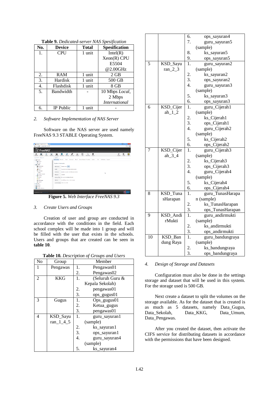| No. | <b>Device</b>    | Total  | <b>Spesification</b> |
|-----|------------------|--------|----------------------|
| 1.  | <b>CPU</b>       | 1 unit | Intel(R)             |
|     |                  |        | $Xeon(R)$ CPU        |
|     |                  |        | E5504                |
|     |                  |        | @2.00GHz             |
| 2.  | RAM              | 1 unit | $2$ GB               |
| 3.  | Hardisk          | 1 unit | 500 GB               |
| 4.  | Flashdisk        | 1 unit | 8 GB                 |
| 5.  | Bandwidth        |        | 10 Mbps Local,       |
|     |                  |        | 2 Mbps               |
|     |                  |        | <i>International</i> |
| б.  | <b>IP</b> Public | unit   |                      |

**Table 9.** *Dedicated-server NAS Spesification*

#### *2. Software Implementation of NAS Server*

Software on the NAS server are used namely FreeNAS 9.3 STABLE Operating System.

|                     | FreeNAS <sup>®</sup>       |                                |              |                                      |                                      |              |                                      |              |                     |                        |             |      |                   |              |           |                  |
|---------------------|----------------------------|--------------------------------|--------------|--------------------------------------|--------------------------------------|--------------|--------------------------------------|--------------|---------------------|------------------------|-------------|------|-------------------|--------------|-----------|------------------|
| 出<br><b>Arracet</b> | P.<br>Kychine              | $\overline{a}$<br><b>Tasks</b> | 琴<br>Network | ⊶<br>Storage                         | 国<br>Directory                       | G<br>Sharing | ಲಿ<br>Services                       | ÷<br>Plugins | III<br><b>Table</b> | 厚<br>Reporting         | π<br>Wigard |      |                   | a<br>Support | в<br>Cade | α<br><b>Akad</b> |
|                     | expend all colleges all    |                                |              | System                               |                                      |              |                                      |              |                     |                        |             |      |                   |              |           |                  |
| 周 Account           |                            |                                |              | <b>Information</b>                   | Coneral                              | Doch         | Advanced                             | <b>Deal</b>  |                     | Custom Detroit Tuesday | Lindate     | City | Cothoster Support |              |           |                  |
| 图 题 Groups          |                            |                                |              |                                      |                                      |              |                                      |              |                     |                        |             |      |                   |              |           |                  |
| Al & Users          |                            |                                |              | System Information                   |                                      |              |                                      |              |                     |                        |             |      |                   |              |           |                  |
| <b>Signal</b>       |                            |                                |              |                                      |                                      |              |                                      |              |                     |                        |             |      |                   |              |           |                  |
|                     | @ Information              |                                |              | <b>Hostnagen</b>                     | freeman, local lists                 |              |                                      |              |                     |                        |             |      |                   |              |           |                  |
| <b>A800t</b>        | A, Greenl                  |                                |              | <b>Build</b>                         | Preehisting 3-57 (46LE-201506042000) |              |                                      |              |                     |                        |             |      |                   |              |           |                  |
|                     | <b>A.</b> Advanced         |                                |              |                                      |                                      |              |                                      |              |                     |                        |             |      |                   |              |           |                  |
| <b>C. Small</b>     |                            |                                |              | <b>Platform</b>                      |                                      |              | Tribi(1) Xeen(1) CPU E5504 @ 2,000Hz |              |                     |                        |             |      |                   |              |           |                  |
|                     | <b>All System Cetacet</b>  |                                |              |                                      | 262290                               |              |                                      |              |                     |                        |             |      | ь                 |              |           |                  |
| (4) SQ Tunghlet     |                            |                                |              | <b>Meas city</b>                     |                                      |              |                                      |              |                     |                        |             |      |                   |              |           |                  |
| <b>ZB</b> Update    |                            |                                |              | System Time P(3) 24 23 53 54 55 7015 |                                      |              |                                      |              |                     |                        |             |      |                   |              |           |                  |
| <b>THE CRA</b>      |                            |                                |              |                                      |                                      |              |                                      |              |                     |                        |             |      |                   |              |           |                  |
|                     | ER Certificates            |                                |              | <b>Uptime</b>                        | 11/33FM up 1 dev. 1/84, 6 sotro      |              |                                      |              |                     |                        |             |      |                   |              |           |                  |
| <b>R EX Techs</b>   | <b>Qr</b> Support          |                                |              | Load Average 0.08, 0.11, 0.03        |                                      |              |                                      |              |                     |                        |             |      |                   |              |           |                  |
| El aga Network      |                            |                                |              |                                      |                                      |              |                                      |              |                     |                        |             |      |                   |              |           |                  |
| Storage             |                            |                                |              |                                      |                                      |              |                                      |              |                     |                        |             |      |                   |              |           |                  |
|                     | <b>BE Oractory Service</b> |                                | ٠            |                                      |                                      |              |                                      |              |                     |                        |             |      |                   |              |           |                  |

**Figure 5.** *Web Interface FreeNAS 9.3*

#### *3. Create Users and Groups*

Creation of user and group are conducted in accordance with the conditions in the field. Each school complex will be made into 1 group and will be filled with the user that exists in the schools. Users and groups that are created can be seen in **table 10**.

| Table 10. Description of Groups and Users |  |
|-------------------------------------------|--|
|-------------------------------------------|--|

| No | Group      | Member                            |
|----|------------|-----------------------------------|
|    | Pengawas   | 1.<br>Pengawas01                  |
|    |            | Pengawas02<br>2.                  |
| 2  | <b>KKG</b> | (Seluruh Guru &<br>1.             |
|    |            | Kepala Sekolah)                   |
|    |            | pengawas01<br>2.                  |
|    |            | 3.<br>ops_gugus01                 |
| 3  | Gugus      | 1.<br>Ops_gugus01                 |
|    |            | 2.<br>Ketua_gugus                 |
|    |            | 3.<br>pengawas01                  |
| 4  | KSD_Sayu   | 1.<br>guru_sayuran1               |
|    | ran_1_4_5  | (sample)                          |
|    |            | 2.<br>ks_sayuran1                 |
|    |            | 3.<br>ops_sayuran1                |
|    |            | $\overline{4}$ .<br>guru_sayuran4 |
|    |            | (sample)                          |
|    |            | 5.<br>ks_sayuran4                 |

|    |                    | 6.               | ops_sayuran4              |
|----|--------------------|------------------|---------------------------|
|    |                    | 7.               | guru_sayuran5             |
|    |                    |                  | (sample)                  |
|    |                    | 8.               | ks_sayuran5               |
|    |                    | 9.               | ops_sayuran5              |
| 5  | KSD_Sayu           | 1.               | guru_sayuran2             |
|    | ran $22$           |                  | (sample)                  |
|    |                    | 2.               | ks_sayuran2               |
|    |                    | 3.               | ops_sayuran2              |
|    |                    | 4.               | guru_sayuran3             |
|    |                    |                  | (sample)                  |
|    |                    | 5.               | ks_sayuran3               |
|    |                    | 6.               | ops_sayuran3              |
| 6  | KSD_Cijer          | 1.               | guru_Cijerah1             |
|    | $ah_1_2$           |                  | (sample)                  |
|    |                    | 2.               | ks_Cijerah1               |
|    |                    | 3.               | ops_Cijerah1              |
|    |                    | 4.               | guru_Cijerah2             |
|    |                    |                  | (sample)                  |
|    |                    | 5.               | ks_Cijerah2               |
|    |                    | 6.               | ops_Cijerah2              |
| 7  | KSD_Cijer          | 1.               | guru_Cijerah3             |
|    | ah $3-4$           |                  | (sample)                  |
|    |                    | 2.               | ks_Cijerah3               |
|    |                    | 3.               | ops_Cijerah3              |
|    |                    | 4.               | guru_Cijerah4             |
|    |                    |                  | (sample)                  |
|    |                    | 5.               | ks_Cijerah4               |
|    |                    | 6.               | ops_Cijerah4              |
| 8  | KSD_Tuna           | 1.               | guru_TunasHarapa          |
|    | sHarapan           |                  | n (sample)                |
|    |                    | 2.               | ks_TunasHarapan           |
|    |                    | 3.               | ops_TunasHarapan          |
| 9  | KSD_Andi<br>rMukti | 1.               | guru_andirmukti           |
|    |                    | 2.               | (sample)<br>ks_andirmukti |
|    |                    | 3.               | ops_andirmukti            |
| 10 | KSD Ban            | $\overline{1}$ . | guru_bandungraya          |
|    | dung Raya          |                  | (sample)                  |
|    |                    |                  | ks_bandungraya            |
|    |                    | $rac{2}{3}$ .    |                           |
|    |                    |                  | ops_bandungraya           |

#### *4. Design of Storage and Datasets*

Configuration must also be done in the settings storage and dataset that will be used in this system. For the storage used is 500 GB.

Next create a dataset to split the volumes on the storage available. As for the dataset that is created is as much as 5 datasets, namely Data\_Gugus, Data\_Sekolah, Data\_KKG, Data\_Umum, Data\_Pengawas.

After you created the dataset, then activate the CIFS service for distributing datasets in accordance with the permissions that have been designed.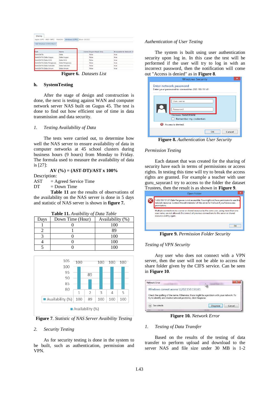| Apple (AFP) UNIX (NFS)   | WebDAV<br>Windows (CIFS) Block (iSCSI) |                       |                         |
|--------------------------|----------------------------------------|-----------------------|-------------------------|
| Add Windows (CIFS) Share |                                        |                       |                         |
| Path                     | Name                                   | Comm Export Read Only | Browsable to Network Cl |
| /mnt/DATA                | Data                                   | false                 | true                    |
| /mnt/DATA/Data Gugus     | Data Gugus                             | false                 | true                    |
| /mnt/DATA/Data KKG       | Data KKG                               | false                 | true                    |
| /mnt/DATA/Data Pengawas  | Data Pengawas                          | false                 | true                    |
|                          | Data Sekolah                           | false                 | true                    |
| /mnt/DATA/Data Sekolah   |                                        | false                 |                         |

**Figure 6.** *Datasets List*

#### **h. SystemTesting**

After the stage of design and construction is done, the next is testing against WAN and computer network server NAS built on Gugus 45. The test is done to find out how efficient use of time in data transmission and data security.

#### *1. Testing Availability of Data*

The tests were carried out, to determine how well the NAS server to ensure availability of data in computer networks at 45 school clusters during business hours (9 hours) from Monday to Friday. The formula used to measure the availability of data is [27]:

#### **AV (%) = (AST-DT)/AST x 100%**

Description:

 $AST = Agreed Service Time$ 

 $DT = Down Time$ 

**Table 11** are the results of observations of the availability on the NAS server is done in 5 days and statistic of NAS server is shown in **figure 7.**

| Days | Down Time (Hour) | Availability (%) |
|------|------------------|------------------|
|      |                  | 100              |
|      |                  | 89               |
|      |                  | 100              |
|      |                  | 100              |
|      |                  |                  |



**Figure 7***. Statistic of NAS Server Avaibility Testing*

#### *2. Security Testing*

As for security testing is done in the system to be built, such as authentication, permission and VPN.

#### *Authentication of User Testing*

The system is built using user authentication security upon log in. In this case the test will be performed if the user will try to log in with an incorrect password, then the notification will come out "Access is denied" as in **Figure 8**.

| <b>Windows Security</b>                                                     |
|-----------------------------------------------------------------------------|
| Enter network password<br>Enter your password to connect to: 202.150.151.61 |
| User name<br>Password<br><b>Domain: RAMDHANI</b><br>Remember my credentials |
| Access is denied.                                                           |
| Cancel<br>OK                                                                |

**Figure 8.** *Authentication User Security*

#### *Permission Testing*

Each dataset that was created for the sharing of security have each in terms of permissions or access rights. In testing this time will try to break the access rights are granted. For example a teacher with user guru\_sayuran1 try to access to the folder the dataset Trustees, then the result is as shown in **Figure 9**.

| $11431003$ , then the result is as shown in Figure ).                                                                                                                                                           |
|-----------------------------------------------------------------------------------------------------------------------------------------------------------------------------------------------------------------|
| $\times$<br>Open Folder                                                                                                                                                                                         |
| \\202.150.151.61\Data Pengawas is not accessible. You might not have permission to use this<br>network resource. Contact the administrator of this server to find out if you have access<br>permissions.        |
| Multiple connections to a server or shared resource by the same user, using more than one<br>user name, are not allowed. Disconnect all previous connections to the server or shared<br>resource and try again. |
| OK                                                                                                                                                                                                              |

**Figure 9.** *Permission Folder Security*

#### *Testing of VPN Security*

Any user who does not connect with a VPN server, then the user will not be able to access the share folder given by the CIFS service. Can be seen in **Figure 10**.

| Windows cannot access \\202.150.151.61                        |                                                                                           |
|---------------------------------------------------------------|-------------------------------------------------------------------------------------------|
| try to identify and resolve network problems, click Diagnose. | Check the spelling of the name. Otherwise, there might be a problem with your network. To |
|                                                               |                                                                                           |

**Figure 10.** *Network Error*

#### *1. Testing of Data Transfer*

Based on the results of the testing of data transfer to perform upload and download to the server NAS and file size under 30 MB is 1-2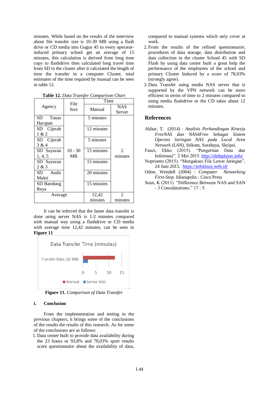minutes. While based on the results of the interview about file transfer size is 10-30 MB using a flash drive or CD media into Gugus 45 to every operatorinduced primary school get an average of 15 minutes, this calculation is derived from long time copy to flashdrive then calculated long travel time from SD to the cluster after it calculated the length of time the transfer to a computer Cluster, total estimates of the time required by manual can be seen in table 12.

|             | File      | Time       |                             |
|-------------|-----------|------------|-----------------------------|
| Agency      | Size      | Manual     | <b>NAS</b>                  |
|             |           |            | Server                      |
| SD<br>Tunas |           | 5 minutes  |                             |
| Harapan     |           |            |                             |
| SD Cijerah  |           | 12 minutes |                             |
| 1 & 2       |           |            |                             |
| SD Cijerah  |           | 5 minutes  |                             |
| 3 & 4       |           |            |                             |
| SD Sayuran  | $10 - 30$ | 15 minutes | $\mathcal{D}_{\mathcal{L}}$ |
| 1, 4, 5     | МB        |            | minutes                     |
| SD Sayuran  |           | 15 minutes |                             |
| 2 & 3       |           |            |                             |
| Andir<br>SD |           | 20 minutes |                             |
| Mukti       |           |            |                             |
| SD Bandung  |           | 15 minutes |                             |
| Raya        |           |            |                             |
| Average     |           | 12,42      | 2                           |
|             |           | minutes    | minutes                     |

**Table 12.** *Data Transfer Comparison Chart*

It can be inferred that the faster data transfer is done using server NAS is 1-2 minutes compared with manual way using a flashdrive or CD media with average time 12,42 minutes, can be seen in **Figure 11**



**Figure 11.** *Comparison of Data Transfer*

#### **i. Conclusion**

From the implementation and testing in the previous chapters, it brings some of the conclusions of the results the results of this research. As for some of the conclusions are as follows:

1. Data center built to provide data availability during the 23 hours or 93,8% and 78,03% sport results score questionnaire about the availability of data,

compared to manual systems which only cover at work.

- 2. From the results of the refined questionnaire, procedures of data storage, data distribution and data collection in the cluster School 45 with SD Flash by using data center built a great help the performance of the employees of the school and primary Cluster Induced by a score of 78,03% (strongly agree).
- 3. Data Transfer using media NAS server that is supported by the VPN network can be more efficient in terms of time to 2 minutes compared to using media flashdrive or the CD takes about 12 minutes.

#### **References**

- Akbar, T. (2014) : *Analisis Perbandingan Kinerja FreeNAS dan NAS4Free Sebagai Sistem Operasi Jaringan NAS pada Local Area Network (LAN),* Stikom, Surabaya, Skripsi.
- Fauzi, Ekko (2015). "Pengertian Data dan Informasi". 2 Mei 2015.<http://slideplayer.info/>
- Noprianto (2015). "Mengakses File Lewat Jaringan", 24 Juni 2015.<https://infolinux.web.id/>
- Odon, Wendell (2004) : *Computer Networking First-Step*. Idianapolis : Cisco Press
- Sean, K (2011) "Difference Between NAS and SAN - 3 Considerations," 17 : 5.